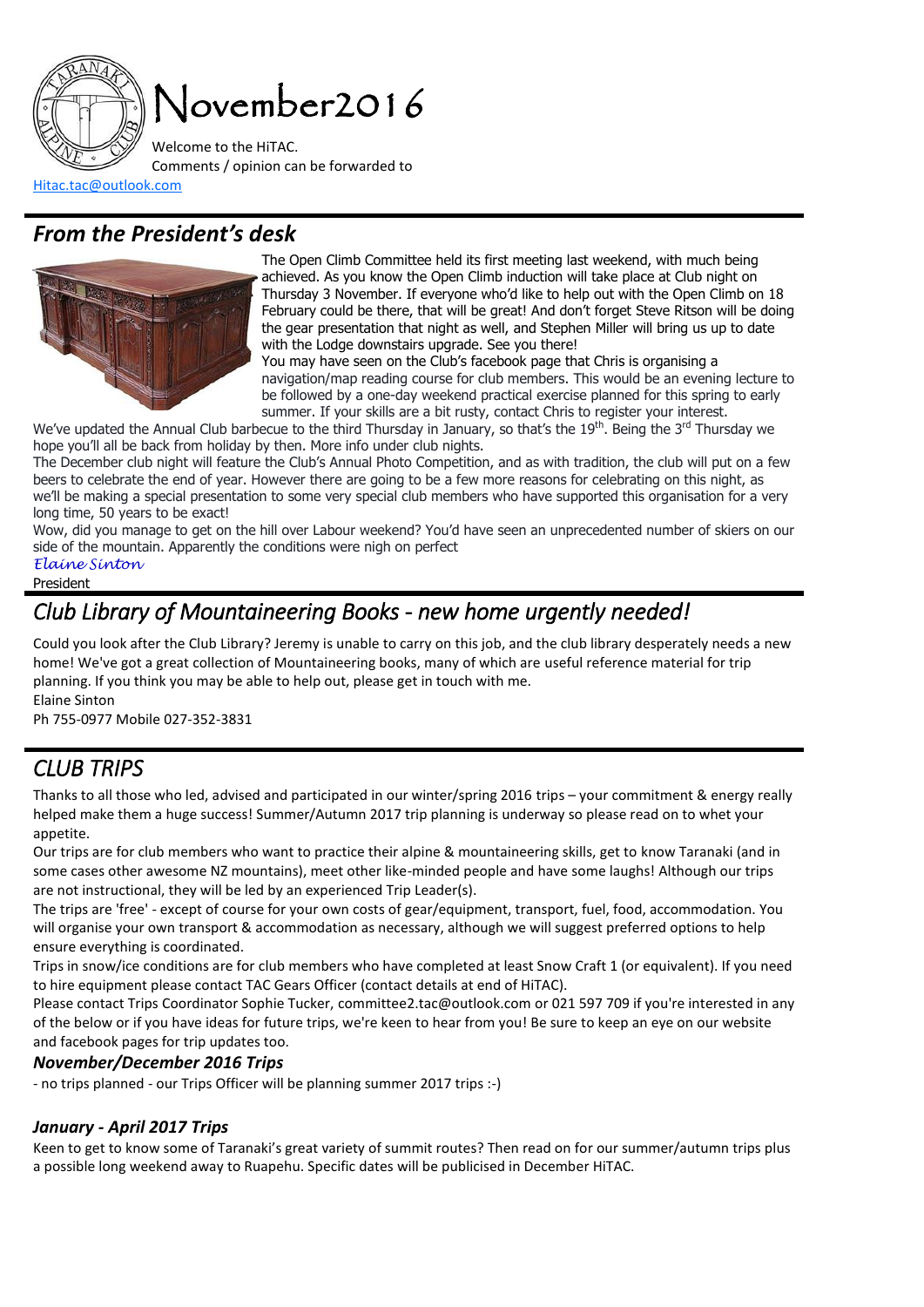

Comments / opinion can be forwarded to

[Hitac.tac@outlook.com](mailto:Hitac.tac@outlook.com)

## *From the President's desk*



The Open Climb Committee held its first meeting last weekend, with much being achieved. As you know the Open Climb induction will take place at Club night on Thursday 3 November. If everyone who'd like to help out with the Open Climb on 18 February could be there, that will be great! And don't forget Steve Ritson will be doing the gear presentation that night as well, and Stephen Miller will bring us up to date with the Lodge downstairs upgrade. See you there!

You may have seen on the Club's facebook page that Chris is organising a navigation/map reading course for club members. This would be an evening lecture to be followed by a one-day weekend practical exercise planned for this spring to early summer. If your skills are a bit rusty, contact Chris to register your interest.

We've updated the Annual Club barbecue to the third Thursday in January, so that's the 19<sup>th</sup>. Being the 3<sup>rd</sup> Thursday we hope you'll all be back from holiday by then. More info under club nights.

The December club night will feature the Club's Annual Photo Competition, and as with tradition, the club will put on a few beers to celebrate the end of year. However there are going to be a few more reasons for celebrating on this night, as we'll be making a special presentation to some very special club members who have supported this organisation for a very long time, 50 years to be exact!

Wow, did you manage to get on the hill over Labour weekend? You'd have seen an unprecedented number of skiers on our side of the mountain. Apparently the conditions were nigh on perfect

### *Elaine Sinton*

## President

# *Club Library of Mountaineering Books - new home urgently needed!*

Could you look after the Club Library? Jeremy is unable to carry on this job, and the club library desperately needs a new home! We've got a great collection of Mountaineering books, many of which are useful reference material for trip planning. If you think you may be able to help out, please get in touch with me. Elaine Sinton

Ph 755-0977 Mobile 027-352-3831

# *CLUB TRIPS*

Thanks to all those who led, advised and participated in our winter/spring 2016 trips – your commitment & energy really helped make them a huge success! Summer/Autumn 2017 trip planning is underway so please read on to whet your appetite.

Our trips are for club members who want to practice their alpine & mountaineering skills, get to know Taranaki (and in some cases other awesome NZ mountains), meet other like-minded people and have some laughs! Although our trips are not instructional, they will be led by an experienced Trip Leader(s).

The trips are 'free' - except of course for your own costs of gear/equipment, transport, fuel, food, accommodation. You will organise your own transport & accommodation as necessary, although we will suggest preferred options to help ensure everything is coordinated.

Trips in snow/ice conditions are for club members who have completed at least Snow Craft 1 (or equivalent). If you need to hire equipment please contact TAC Gears Officer (contact details at end of HiTAC).

Please contact Trips Coordinator Sophie Tucker, [committee2.tac@outlook.com](mailto:committee2.tac@outlook.com) or 021 597 709 if you're interested in any of the below or if you have ideas for future trips, we're keen to hear from you! Be sure to keep an eye on our website and facebook pages for trip updates too.

#### *November/December 2016 Trips*

- no trips planned - our Trips Officer will be planning summer 2017 trips :-)

### *January - April 2017 Trips*

Keen to get to know some of Taranaki's great variety of summit routes? Then read on for our summer/autumn trips plus a possible long weekend away to Ruapehu. Specific dates will be publicised in December HiTAC.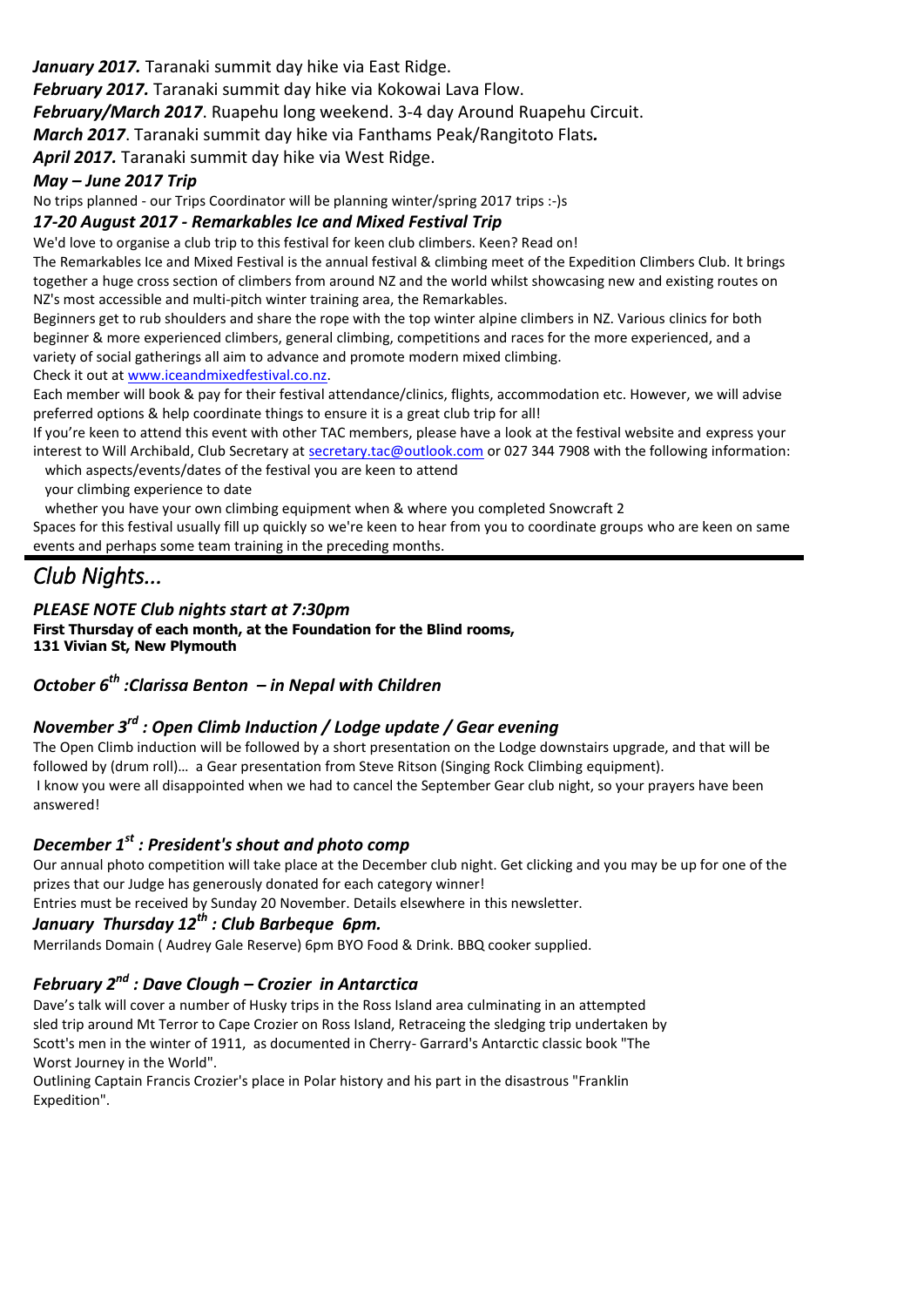*January 2017.* Taranaki summit day hike via East Ridge.

*February 2017.* Taranaki summit day hike via Kokowai Lava Flow.

*February/March 2017*. Ruapehu long weekend. 3-4 day Around Ruapehu Circuit.

*March 2017*. Taranaki summit day hike via Fanthams Peak/Rangitoto Flats*.*

*April 2017.* Taranaki summit day hike via West Ridge.

### *May – June 2017 Trip*

No trips planned - our Trips Coordinator will be planning winter/spring 2017 trips :-)s

#### *17-20 August 2017 - Remarkables Ice and Mixed Festival Trip*

We'd love to organise a club trip to this festival for keen club climbers. Keen? Read on!

The Remarkables Ice and Mixed Festival is the annual festival & climbing meet of the Expedition Climbers Club. It brings together a huge cross section of climbers from around NZ and the world whilst showcasing new and existing routes on NZ's most accessible and multi-pitch winter training area, the Remarkables.

Beginners get to rub shoulders and share the rope with the top winter alpine climbers in NZ. Various clinics for both beginner & more experienced climbers, general climbing, competitions and races for the more experienced, and a variety of social gatherings all aim to advance and promote modern mixed climbing.

Check it out a[t www.iceandmixedfestival.co.nz.](http://www.iceandmixedfestival.co.nz/)

Each member will book & pay for their festival attendance/clinics, flights, accommodation etc. However, we will advise preferred options & help coordinate things to ensure it is a great club trip for all!

If you're keen to attend this event with other TAC members, please have a look at the festival website and express your interest to Will Archibald, Club Secretary at [secretary.tac@outlook.com](mailto:secretary.tac@outlook.com) or 027 344 7908 with the following information: which aspects/events/dates of the festival you are keen to attend

your climbing experience to date

whether you have your own climbing equipment when & where you completed Snowcraft 2

Spaces for this festival usually fill up quickly so we're keen to hear from you to coordinate groups who are keen on same events and perhaps some team training in the preceding months.

# *Club Nights...*

#### *PLEASE NOTE Club nights start at 7:30pm*

**First Thursday of each month, at the Foundation for the Blind rooms, 131 Vivian St, New Plymouth**

### *October 6th :Clarissa Benton – in Nepal with Children*

## *November 3rd : Open Climb Induction / Lodge update / Gear evening*

The Open Climb induction will be followed by a short presentation on the Lodge downstairs upgrade, and that will be followed by (drum roll)… a Gear presentation from Steve Ritson (Singing Rock Climbing equipment). I know you were all disappointed when we had to cancel the September Gear club night, so your prayers have been answered!

## *December 1st : President's shout and photo comp*

Our annual photo competition will take place at the December club night. Get clicking and you may be up for one of the prizes that our Judge has generously donated for each category winner!

Entries must be received by Sunday 20 November. Details elsewhere in this newsletter.

## *January Thursday 12th : Club Barbeque 6pm.*

Merrilands Domain ( Audrey Gale Reserve) 6pm BYO Food & Drink. BBQ cooker supplied.

## *February 2nd : Dave Clough – Crozier in Antarctica*

Dave's talk will cover a number of Husky trips in the Ross Island area culminating in an attempted sled trip around Mt Terror to Cape Crozier on Ross Island, Retraceing the sledging trip undertaken by Scott's men in the winter of 1911, as documented in Cherry- Garrard's Antarctic classic book "The Worst Journey in the World".

Outlining Captain Francis Crozier's place in Polar history and his part in the disastrous "Franklin Expedition".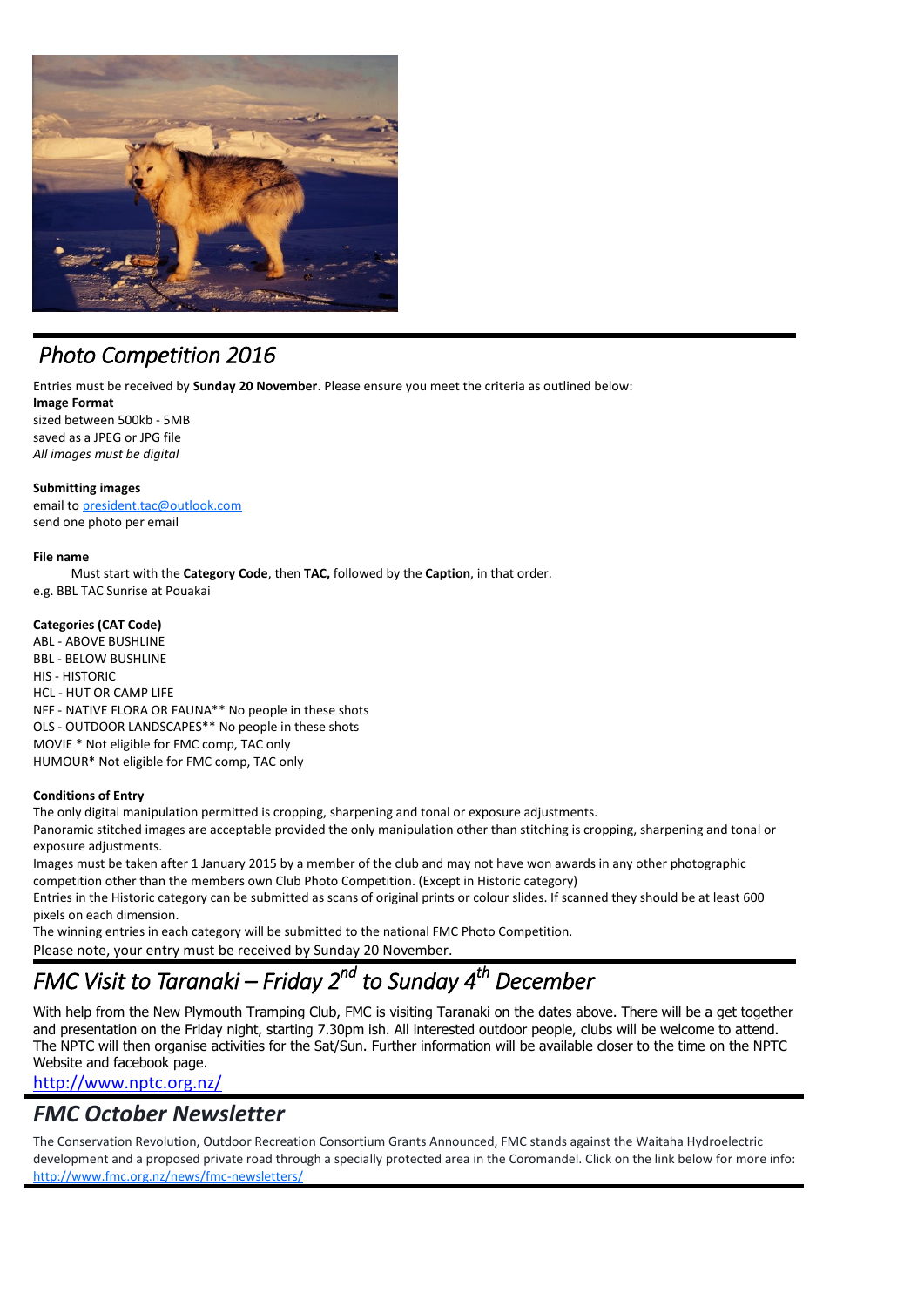

# *Photo Competition 2016*

Entries must be received by **Sunday 20 November**. Please ensure you meet the criteria as outlined below:

**Image Format**  sized between 500kb - 5MB saved as a JPEG or JPG file *All images must be digital*

**Submitting images** 

email t[o president.tac@outlook.com](mailto:president.tac@outlook.com) send one photo per email

#### **File name**

Must start with the **Category Code**, then **TAC,** followed by the **Caption**, in that order. e.g. BBL TAC Sunrise at Pouakai

#### **Categories (CAT Code)**

ABL - ABOVE BUSHLINE BBL - BELOW BUSHLINE HIS - HISTORIC HCL - HUT OR CAMP LIFE NFF - NATIVE FLORA OR FAUNA\*\* No people in these shots OLS - OUTDOOR LANDSCAPES\*\* No people in these shots MOVIE \* Not eligible for FMC comp, TAC only HUMOUR\* Not eligible for FMC comp, TAC only

#### **Conditions of Entry**

The only digital manipulation permitted is cropping, sharpening and tonal or exposure adjustments.

Panoramic stitched images are acceptable provided the only manipulation other than stitching is cropping, sharpening and tonal or exposure adjustments.

Images must be taken after 1 January 2015 by a member of the club and may not have won awards in any other photographic competition other than the members own Club Photo Competition. (Except in Historic category)

Entries in the Historic category can be submitted as scans of original prints or colour slides. If scanned they should be at least 600 pixels on each dimension.

The winning entries in each category will be submitted to the national FMC Photo Competition. Please note, your entry must be received by Sunday 20 November.

# *FMC Visit to Taranaki – Friday 2nd to Sunday 4th December*

With help from the New Plymouth Tramping Club, FMC is visiting Taranaki on the dates above. There will be a get together and presentation on the Friday night, starting 7.30pm ish. All interested outdoor people, clubs will be welcome to attend. The NPTC will then organise activities for the Sat/Sun. Further information will be available closer to the time on the NPTC Website and facebook page.

<http://www.nptc.org.nz/>

## *FMC October Newsletter*

The Conservation Revolution, Outdoor Recreation Consortium Grants Announced, FMC stands against the Waitaha Hydroelectric development and a proposed private road through a specially protected area in the Coromandel. Click on the link below for more info: <http://www.fmc.org.nz/news/fmc-newsletters/>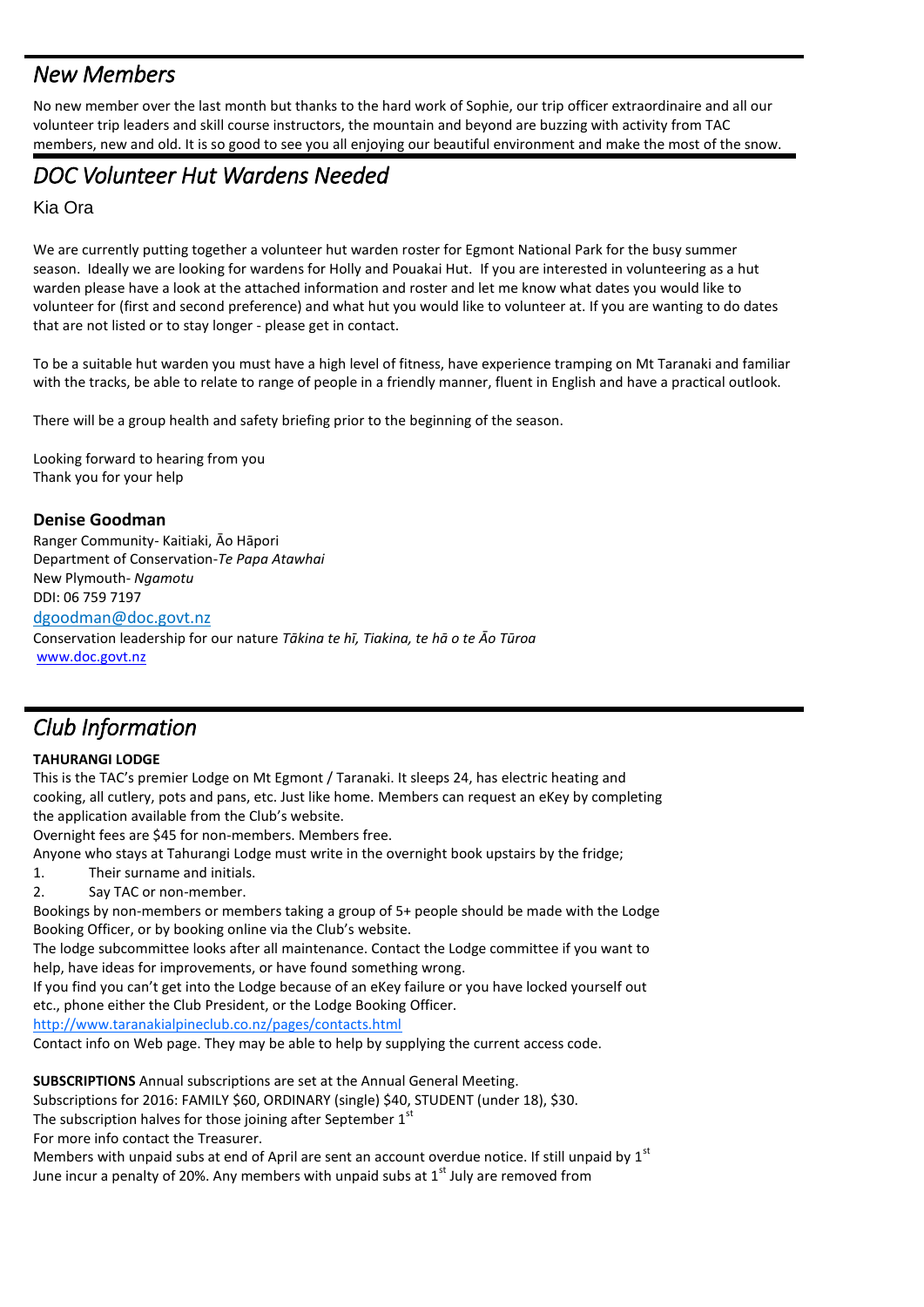# *New Members*

No new member over the last month but thanks to the hard work of Sophie, our trip officer extraordinaire and all our volunteer trip leaders and skill course instructors, the mountain and beyond are buzzing with activity from TAC members, new and old. It is so good to see you all enjoying our beautiful environment and make the most of the snow.

# *DOC Volunteer Hut Wardens Needed*

Kia Ora

We are currently putting together a volunteer hut warden roster for Egmont National Park for the busy summer season. Ideally we are looking for wardens for Holly and Pouakai Hut. If you are interested in volunteering as a hut warden please have a look at the attached information and roster and let me know what dates you would like to volunteer for (first and second preference) and what hut you would like to volunteer at. If you are wanting to do dates that are not listed or to stay longer - please get in contact.

To be a suitable hut warden you must have a high level of fitness, have experience tramping on Mt Taranaki and familiar with the tracks, be able to relate to range of people in a friendly manner, fluent in English and have a practical outlook.

There will be a group health and safety briefing prior to the beginning of the season.

Looking forward to hearing from you Thank you for your help

#### **Denise Goodman**

Ranger Community- Kaitiaki, Āo Hāpori Department of Conservation-*Te Papa Atawhai* New Plymouth- *Ngamotu* DDI: 06 759 7197 [dgoodman@doc.govt.nz](mailto:dgoodman@doc.govt.nz) Conservation leadership for our nature *Tākina te hī, Tiakina, te hā o te Āo Tūroa* [www.doc.govt.nz](http://www.doc.govt.nz/)

# *Club Information*

#### **TAHURANGI LODGE**

This is the TAC's premier Lodge on Mt Egmont / Taranaki. It sleeps 24, has electric heating and cooking, all cutlery, pots and pans, etc. Just like home. Members can request an eKey by completing the application available from the Club's website.

Overnight fees are \$45 for non-members. Members free.

Anyone who stays at Tahurangi Lodge must write in the overnight book upstairs by the fridge;

- 1. Their surname and initials.
- 2. Say TAC or non-member.

Bookings by non-members or members taking a group of 5+ people should be made with the Lodge Booking Officer, or by booking online via the Club's website.

The lodge subcommittee looks after all maintenance. Contact the Lodge committee if you want to help, have ideas for improvements, or have found something wrong.

If you find you can't get into the Lodge because of an eKey failure or you have locked yourself out etc., phone either the Club President, or the Lodge Booking Officer.

<http://www.taranakialpineclub.co.nz/pages/contacts.html>

Contact info on Web page. They may be able to help by supplying the current access code.

**SUBSCRIPTIONS** Annual subscriptions are set at the Annual General Meeting.

Subscriptions for 2016: FAMILY \$60, ORDINARY (single) \$40, STUDENT (under 18), \$30.

The subscription halves for those joining after September  $1<sup>st</sup>$ 

For more info contact the Treasurer.

Members with unpaid subs at end of April are sent an account overdue notice. If still unpaid by  $1<sup>st</sup>$ June incur a penalty of 20%. Any members with unpaid subs at  $1<sup>st</sup>$  July are removed from